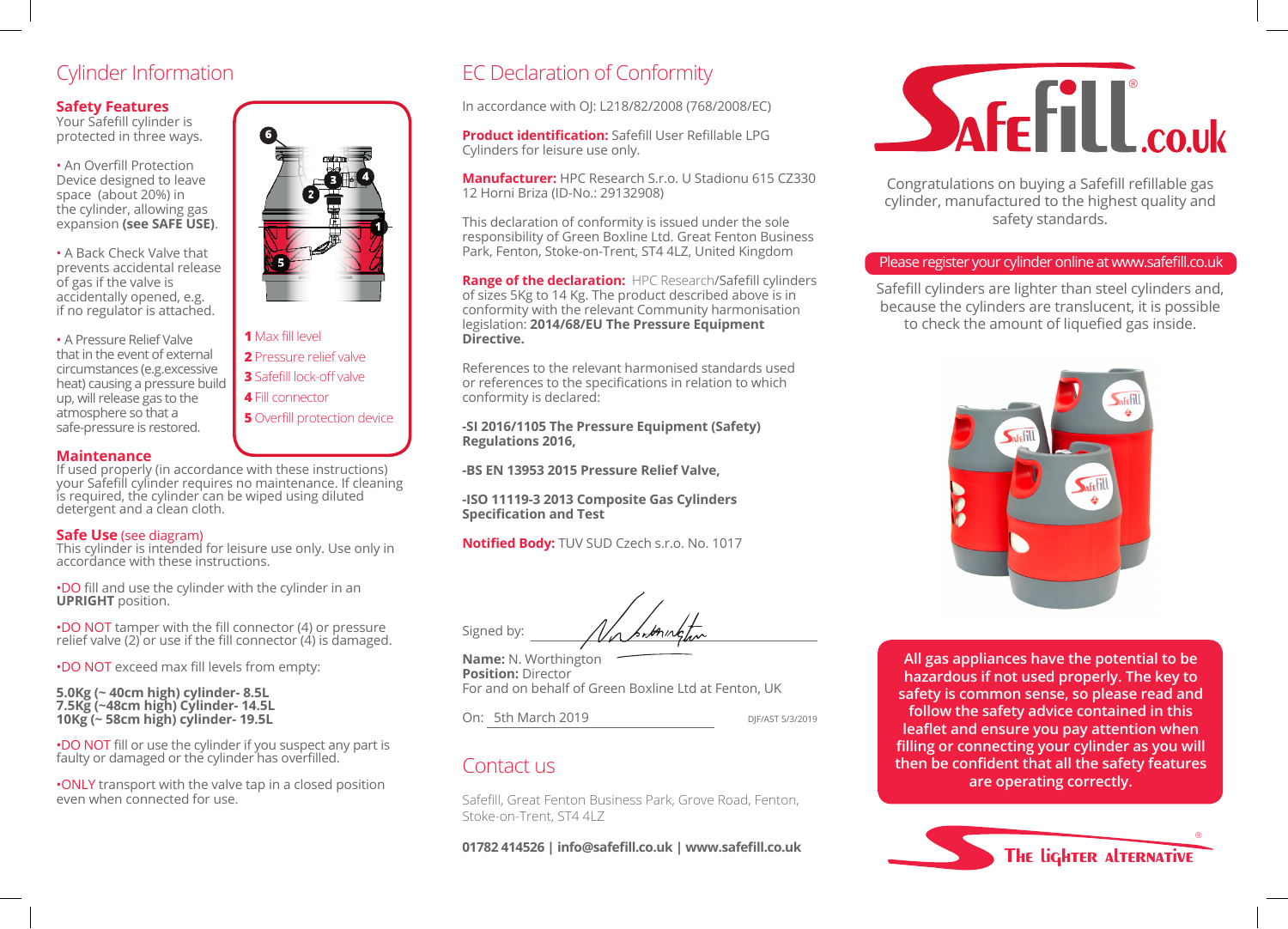### **Safety Features**

Your Safefill cylinder is protected in three ways.

• An Overfill Protection Device designed to leave space (about 20%) in the cylinder, allowing gas expansion **(see SAFE USE)**.

• A Back Check Valve that prevents accidental release of gas if the valve is accidentally opened, e.g. if no regulator is attached.

• A Pressure Relief Valve that in the event of external circumstances (e.g.excessive heat) causing a pressure build up, will release gas to the atmosphere so that a safe-pressure is restored.

### **Maintenance**

If used properly (in accordance with these instructions) your Safefill cylinder requires no maintenance. If cleaning is required, the cylinder can be wiped using diluted detergent and a clean cloth.

### **Safe Use** (see diagram)

This cylinder is intended for leisure use only. Use only in accordance with these instructions.

•DO fill and use the cylinder with the cylinder in an **UPRIGHT** position.

•DO NOT tamper with the fill connector (4) or pressure relief valve (2) or use if the fill connector (4) is damaged.

•DO NOT exceed max fill levels from empty:

**5.0Kg (~ 40cm high) cylinder- 8.5L 7.5Kg (~48cm high) Cylinder- 14.5L 10Kg (~ 58cm high) cylinder- 19.5L**

•DO NOT fill or use the cylinder if you suspect any part is faulty or damaged or the cylinder has overfilled.

•ONLY transport with the valve tap in a closed position even when connected for use.



# Cylinder Information EC Declaration of Conformity

In accordance with OJ: L218/82/2008 (768/2008/EC)

**Product identification:** Safefill User Refillable LPG Cylinders for leisure use only.

**Manufacturer:** HPC Research S.r.o. U Stadionu 615 CZ330 12 Horni Briza (ID-No.: 29132908)

This declaration of conformity is issued under the sole responsibility of Green Boxline Ltd. Great Fenton Business Park, Fenton, Stoke-on-Trent, ST4 4LZ, United Kingdom

**Range of the declaration:** HPC Research/Safefill cylinders of sizes 5Kg to 14 Kg. The product described above is in conformity with the relevant Community harmonisation legislation: **2014/68/EU The Pressure Equipment Directive.**

References to the relevant harmonised standards used or references to the specifications in relation to which conformity is declared:

**-SI 2016/1105 The Pressure Equipment (Safety) Regulations 2016,**

**-BS EN 13953 2015 Pressure Relief Valve,**

**-ISO 11119-3 2013 Composite Gas Cylinders Specification and Test**

**Notified Body:** TUV SUD Czech s.r.o. No. 1017

Signed by:

**Name:** N. Worthington **Position:** Director For and on behalf of Green Boxline Ltd at Fenton, UK

On: 5th March 2019 DJF/AST 5/3/2019

## Contact us

Safefill, Great Fenton Business Park, Grove Road, Fenton, Stoke-on-Trent, ST4 4LZ

**01782 414526 | info@safefill.co.uk | www.safefill.co.uk**



Congratulations on buying a Safefill refillable gas cylinder, manufactured to the highest quality and safety standards.

### Please register your cylinder online at www.safefill.co.uk

Safefill cylinders are lighter than steel cylinders and, because the cylinders are translucent, it is possible to check the amount of liquefied gas inside.



**All gas appliances have the potential to be hazardous if not used properly. The key to safety is common sense, so please read and follow the safety advice contained in this leaflet and ensure you pay attention when filling or connecting your cylinder as you will then be confident that all the safety features are operating correctly.**



### **1** Max fill level **2** Pressure relief valve **3** Safefill lock-off valve **4** Fill connector **5** Overfill protection device